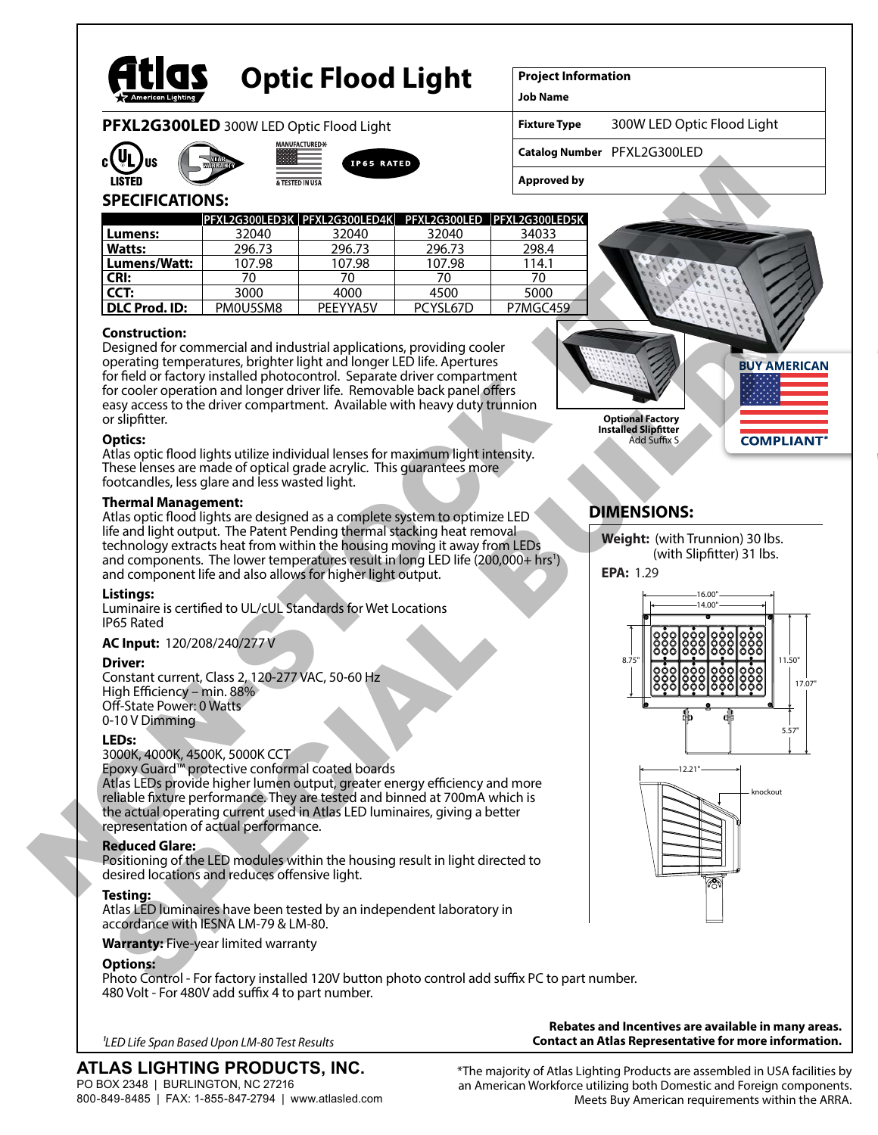

# **Optic Flood Light**

**UFACTURED-**

**Project Information**

**Job Name**

**Fixture Type** 300W LED Optic Flood Light

**Catalog Number** PFXL2G300LED

**Approved by**

# **SPECIFICATIONS:**

**PFXL2G300LED** 300W LED Optic Flood Light

|                |          | PFXL2G300LED3K   PFXL2G300LED4K   PFXL2G300LED   PFXL2G300LED5K |          |          |
|----------------|----------|-----------------------------------------------------------------|----------|----------|
| Lumens:        | 32040    | 32040                                                           | 32040    | 34033    |
| <b>Watts:</b>  | 296.73   | 296.73                                                          | 296.73   | 298.4    |
| l Lumens/Watt: | 107.98   | 107.98                                                          | 107.98   | 114.1    |
| CRI:           | 70       | 70                                                              | 70       | 70       |
| CCT:           | 3000     | 4000                                                            | 4500     | 5000     |
| DLC Prod. ID:  | PM0U5SM8 | PFFYYA5V                                                        | PCYSL67D | P7MGC459 |

# **Construction:**

Designed for commercial and industrial applications, providing cooler operating temperatures, brighter light and longer LED life. Apertures for field or factory installed photocontrol. Separate driver compartment for cooler operation and longer driver life. Removable back panel offers easy access to the driver compartment. Available with heavy duty trunnion or slipfitter.

#### **Optics:**

Atlas optic flood lights utilize individual lenses for maximum light intensity. These lenses are made of optical grade acrylic. This guarantees more footcandles, less glare and less wasted light.

#### **Thermal Management:**

Atlas optic flood lights are designed as a complete system to optimize LED life and light output. The Patent Pending thermal stacking heat removal technology extracts heat from within the housing moving it away from LEDs and components. The lower temperatures result in long LED life (200,000+ hrs<sup>1</sup>) and component life and also allows for higher light output.

# **Listings:**

Luminaire is certified to UL/cUL Standards for Wet Locations IP65 Rated

# **AC Input:** 120/208/240/277 V

# **Driver:**

Constant current, Class 2, 120-277 VAC, 50-60 Hz High Efficiency – min. 88% Off-State Power: 0 Watts 0-10 V Dimming

#### **LEDs:**

3000K, 4000K, 4500K, 5000K CCT

Epoxy Guard™ protective conformal coated boards

Atlas LEDs provide higher lumen output, greater energy efficiency and more reliable fixture performance. They are tested and binned at 700mA which is the actual operating current used in Atlas LED luminaires, giving a better representation of actual performance.

# **Reduced Glare:**

Positioning of the LED modules within the housing result in light directed to desired locations and reduces offensive light.

# **Testing:**

Atlas LED luminaires have been tested by an independent laboratory in accordance with IESNA LM-79 & LM-80.

#### **Warranty:** Five-year limited warranty

# **Options:**

Photo Control - For factory installed 120V button photo control add suffix PC to part number. 480 Volt - For 480V add suffix 4 to part number.

**Contact an Atlas Representative for more information.** *1LED Life Span Based Upon LM-80 Test Results*

# **ATLAS LIGHTING PRODUCTS, INC.** PO BOX 2348 | BURLINGTON, NC 27216

800-849-8485 | FAX: 1-855-847-2794 | www.atlasled.com

\*The majority of Atlas Lighting Products are assembled in USA facilities by an American Workforce utilizing both Domestic and Foreign components.

Meets Buy American requirements within the ARRA.

**Rebates and Incentives are available in many areas.**





# **DIMENSIONS:**